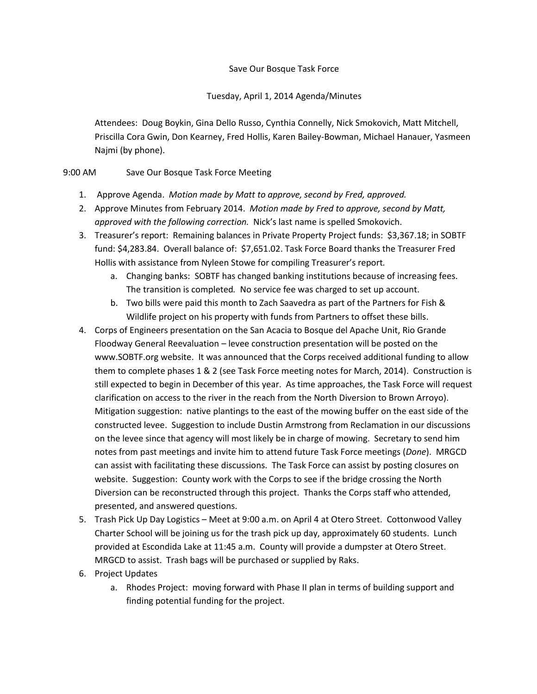## Save Our Bosque Task Force

Tuesday, April 1, 2014 Agenda/Minutes

Attendees: Doug Boykin, Gina Dello Russo, Cynthia Connelly, Nick Smokovich, Matt Mitchell, Priscilla Cora Gwin, Don Kearney, Fred Hollis, Karen Bailey-Bowman, Michael Hanauer, Yasmeen Najmi (by phone).

## 9:00 AM Save Our Bosque Task Force Meeting

- 1. Approve Agenda. *Motion made by Matt to approve, second by Fred, approved.*
- 2. Approve Minutes from February 2014. *Motion made by Fred to approve, second by Matt, approved with the following correction.* Nick's last name is spelled Smokovich.
- 3. Treasurer's report: Remaining balances in Private Property Project funds: \$3,367.18; in SOBTF fund: \$4,283.84. Overall balance of: \$7,651.02. Task Force Board thanks the Treasurer Fred Hollis with assistance from Nyleen Stowe for compiling Treasurer's report*.*
	- a. Changing banks: SOBTF has changed banking institutions because of increasing fees. The transition is completed*.* No service fee was charged to set up account.
	- b. Two bills were paid this month to Zach Saavedra as part of the Partners for Fish & Wildlife project on his property with funds from Partners to offset these bills.
- 4. Corps of Engineers presentation on the San Acacia to Bosque del Apache Unit, Rio Grande Floodway General Reevaluation – levee construction presentation will be posted on the www.SOBTF.org website. It was announced that the Corps received additional funding to allow them to complete phases 1 & 2 (see Task Force meeting notes for March, 2014). Construction is still expected to begin in December of this year. As time approaches, the Task Force will request clarification on access to the river in the reach from the North Diversion to Brown Arroyo). Mitigation suggestion: native plantings to the east of the mowing buffer on the east side of the constructed levee. Suggestion to include Dustin Armstrong from Reclamation in our discussions on the levee since that agency will most likely be in charge of mowing. Secretary to send him notes from past meetings and invite him to attend future Task Force meetings (*Done*). MRGCD can assist with facilitating these discussions. The Task Force can assist by posting closures on website. Suggestion: County work with the Corps to see if the bridge crossing the North Diversion can be reconstructed through this project. Thanks the Corps staff who attended, presented, and answered questions.
- 5. Trash Pick Up Day Logistics Meet at 9:00 a.m. on April 4 at Otero Street. Cottonwood Valley Charter School will be joining us for the trash pick up day, approximately 60 students. Lunch provided at Escondida Lake at 11:45 a.m. County will provide a dumpster at Otero Street. MRGCD to assist. Trash bags will be purchased or supplied by Raks.
- 6. Project Updates
	- a. Rhodes Project: moving forward with Phase II plan in terms of building support and finding potential funding for the project.